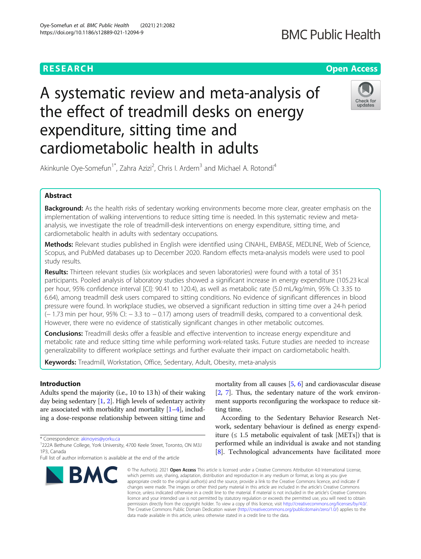# **RESEARCH CHEAR CHEAR CHEAR CHEAR CHEAR CHEAR CHEAR CHEAR CHEAR CHEAR CHEAR CHEAR CHEAR CHEAR CHEAR CHEAR CHEAR**

# A systematic review and meta-analysis of the effect of treadmill desks on energy expenditure, sitting time and cardiometabolic health in adults



Akinkunle Oye-Somefun<sup>1\*</sup>, Zahra Azizi<sup>2</sup>, Chris I. Ardern<sup>3</sup> and Michael A. Rotondi<sup>4</sup>

# Abstract

Background: As the health risks of sedentary working environments become more clear, greater emphasis on the implementation of walking interventions to reduce sitting time is needed. In this systematic review and metaanalysis, we investigate the role of treadmill-desk interventions on energy expenditure, sitting time, and cardiometabolic health in adults with sedentary occupations.

Methods: Relevant studies published in English were identified using CINAHL, EMBASE, MEDLINE, Web of Science, Scopus, and PubMed databases up to December 2020. Random effects meta-analysis models were used to pool study results.

Results: Thirteen relevant studies (six workplaces and seven laboratories) were found with a total of 351 participants. Pooled analysis of laboratory studies showed a significant increase in energy expenditure (105.23 kcal per hour, 95% confidence interval [CI]: 90.41 to 120.4), as well as metabolic rate (5.0 mL/kg/min, 95% CI: 3.35 to 6.64), among treadmill desk users compared to sitting conditions. No evidence of significant differences in blood pressure were found. In workplace studies, we observed a significant reduction in sitting time over a 24-h period (− 1.73 min per hour, 95% CI: − 3.3 to − 0.17) among users of treadmill desks, compared to a conventional desk. However, there were no evidence of statistically significant changes in other metabolic outcomes.

**Conclusions:** Treadmill desks offer a feasible and effective intervention to increase energy expenditure and metabolic rate and reduce sitting time while performing work-related tasks. Future studies are needed to increase generalizability to different workplace settings and further evaluate their impact on cardiometabolic health.

Keywords: Treadmill, Workstation, Office, Sedentary, Adult, Obesity, meta-analysis

## Introduction

Adults spend the majority (i.e., 10 to 13 h) of their waking day being sedentary [[1](#page-5-0), [2\]](#page-5-0). High levels of sedentary activity are associated with morbidity and mortality [\[1](#page-5-0)–[4\]](#page-5-0), including a dose-response relationship between sitting time and

\* Correspondence: [akinoyes@yorku.ca](mailto:akinoyes@yorku.ca) <sup>1</sup>

Full list of author information is available at the end of the article



mortality from all causes  $[5, 6]$  $[5, 6]$  $[5, 6]$  $[5, 6]$  and cardiovascular disease [[2,](#page-5-0) [7\]](#page-5-0). Thus, the sedentary nature of the work environment supports reconfiguring the workspace to reduce sitting time.

According to the Sedentary Behavior Research Network, sedentary behaviour is defined as energy expenditure  $( \leq 1.5 \text{ metabolic equivalent of task } [METs])$  that is performed while an individual is awake and not standing [[8\]](#page-5-0). Technological advancements have facilitated more

© The Author(s), 2021 **Open Access** This article is licensed under a Creative Commons Attribution 4.0 International License, which permits use, sharing, adaptation, distribution and reproduction in any medium or format, as long as you give appropriate credit to the original author(s) and the source, provide a link to the Creative Commons licence, and indicate if changes were made. The images or other third party material in this article are included in the article's Creative Commons licence, unless indicated otherwise in a credit line to the material. If material is not included in the article's Creative Commons licence and your intended use is not permitted by statutory regulation or exceeds the permitted use, you will need to obtain permission directly from the copyright holder. To view a copy of this licence, visit [http://creativecommons.org/licenses/by/4.0/.](http://creativecommons.org/licenses/by/4.0/) The Creative Commons Public Domain Dedication waiver [\(http://creativecommons.org/publicdomain/zero/1.0/](http://creativecommons.org/publicdomain/zero/1.0/)) applies to the data made available in this article, unless otherwise stated in a credit line to the data.

<sup>222</sup>A Bethune College, York University, 4700 Keele Street, Toronto, ON M3J 1P3, Canada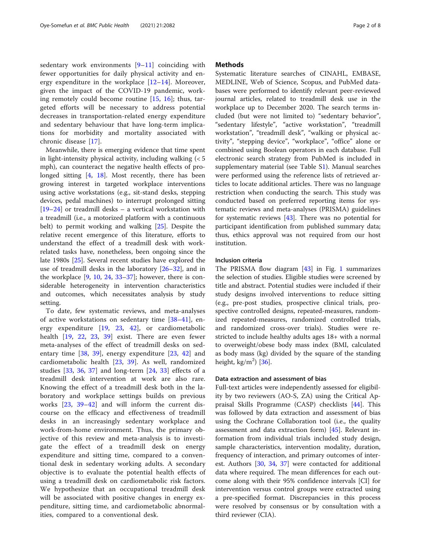sedentary work environments [[9](#page-5-0)–[11\]](#page-5-0) coinciding with fewer opportunities for daily physical activity and energy expenditure in the workplace [[12](#page-5-0)–[14\]](#page-5-0). Moreover, given the impact of the COVID-19 pandemic, working remotely could become routine [\[15](#page-5-0), [16\]](#page-5-0); thus, targeted efforts will be necessary to address potential decreases in transportation-related energy expenditure and sedentary behaviour that have long-term implications for morbidity and mortality associated with chronic disease [\[17](#page-5-0)].

Meanwhile, there is emerging evidence that time spent in light-intensity physical activity, including walking (< 5 mph), can counteract the negative health effects of prolonged sitting [\[4](#page-5-0), [18\]](#page-5-0). Most recently, there has been growing interest in targeted workplace interventions using active workstations (e.g., sit-stand desks, stepping devices, pedal machines) to interrupt prolonged sitting [[19](#page-5-0)–[24](#page-5-0)] or treadmill desks – a vertical workstation with a treadmill (i.e., a motorized platform with a continuous belt) to permit working and walking [\[25](#page-5-0)]. Despite the relative recent emergence of this literature, efforts to understand the effect of a treadmill desk with workrelated tasks have, nonetheless, been ongoing since the late 1980s [[25\]](#page-5-0). Several recent studies have explored the use of treadmill desks in the laboratory [\[26](#page-6-0)–[32\]](#page-6-0), and in the workplace  $[9, 10, 24, 33-37]$  $[9, 10, 24, 33-37]$  $[9, 10, 24, 33-37]$  $[9, 10, 24, 33-37]$  $[9, 10, 24, 33-37]$  $[9, 10, 24, 33-37]$  $[9, 10, 24, 33-37]$  $[9, 10, 24, 33-37]$  $[9, 10, 24, 33-37]$ ; however, there is considerable heterogeneity in intervention characteristics and outcomes, which necessitates analysis by study setting.

To date, few systematic reviews, and meta-analyses of active workstations on sedentary time [[38](#page-6-0)–[41](#page-6-0)], energy expenditure [[19](#page-5-0), [23](#page-5-0), [42\]](#page-6-0), or cardiometabolic health [[19,](#page-5-0) [22,](#page-5-0) [23](#page-5-0), [39\]](#page-6-0) exist. There are even fewer meta-analyses of the effect of treadmill desks on sedentary time [[38,](#page-6-0) [39\]](#page-6-0), energy expenditure [[23,](#page-5-0) [42](#page-6-0)] and cardiometabolic health [[23,](#page-5-0) [39](#page-6-0)]. As well, randomized studies [[33,](#page-6-0) [36,](#page-6-0) [37](#page-6-0)] and long-term [\[24](#page-5-0), [33](#page-6-0)] effects of a treadmill desk intervention at work are also rare. Knowing the effect of a treadmill desk both in the laboratory and workplace settings builds on previous works [[23,](#page-5-0) [39](#page-6-0)–[42\]](#page-6-0) and will inform the current discourse on the efficacy and effectiveness of treadmill desks in an increasingly sedentary workplace and work-from-home environment. Thus, the primary objective of this review and meta-analysis is to investigate the effect of a treadmill desk on energy expenditure and sitting time, compared to a conventional desk in sedentary working adults. A secondary objective is to evaluate the potential health effects of using a treadmill desk on cardiometabolic risk factors. We hypothesize that an occupational treadmill desk will be associated with positive changes in energy expenditure, sitting time, and cardiometabolic abnormalities, compared to a conventional desk.

#### **Methods**

Systematic literature searches of CINAHL, EMBASE, MEDLINE, Web of Science, Scopus, and PubMed databases were performed to identify relevant peer-reviewed journal articles, related to treadmill desk use in the workplace up to December 2020. The search terms included (but were not limited to) "sedentary behavior", "sedentary lifestyle", "active workstation", "treadmill workstation", "treadmill desk", "walking or physical activity", "stepping device", "workplace", "office" alone or combined using Boolean operators in each database. Full electronic search strategy from PubMed is included in supplementary material (see Table S[1\)](#page-4-0). Manual searches were performed using the reference lists of retrieved articles to locate additional articles. There was no language restriction when conducting the search. This study was conducted based on preferred reporting items for systematic reviews and meta-analyses (PRISMA) guidelines for systematic reviews [[43](#page-6-0)]. There was no potential for participant identification from published summary data; thus, ethics approval was not required from our host institution.

#### Inclusion criteria

The PRISMA flow diagram [\[43\]](#page-6-0) in Fig. [1](#page-4-0) summarizes the selection of studies. Eligible studies were screened by title and abstract. Potential studies were included if their study designs involved interventions to reduce sitting (e.g., pre-post studies, prospective clinical trials, prospective controlled designs, repeated-measures, randomized repeated-measures, randomized controlled trials, and randomized cross-over trials). Studies were restricted to include healthy adults ages 18+ with a normal to overweight/obese body mass index (BMI, calculated as body mass (kg) divided by the square of the standing height,  $\text{kg/m}^2$ ) [[36](#page-6-0)].

#### Data extraction and assessment of bias

Full-text articles were independently assessed for eligibility by two reviewers (AO-S, ZA) using the Critical Appraisal Skills Programme (CASP) checklists [[44\]](#page-6-0). This was followed by data extraction and assessment of bias using the Cochrane Collaboration tool (i.e., the quality assessment and data extraction form) [\[45\]](#page-6-0). Relevant information from individual trials included study design, sample characteristics, intervention modality, duration, frequency of interaction, and primary outcomes of interest. Authors [[30](#page-6-0), [34,](#page-6-0) [37](#page-6-0)] were contacted for additional data where required. The mean differences for each outcome along with their 95% confidence intervals [CI] for intervention versus control groups were extracted using a pre-specified format. Discrepancies in this process were resolved by consensus or by consultation with a third reviewer (CIA).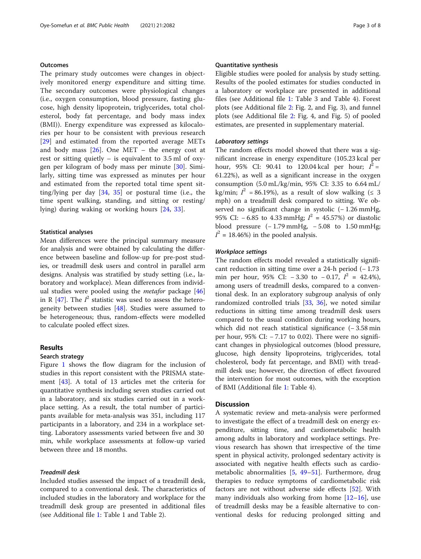#### **Outcomes**

The primary study outcomes were changes in objectively monitored energy expenditure and sitting time. The secondary outcomes were physiological changes (i.e., oxygen consumption, blood pressure, fasting glucose, high density lipoprotein, triglycerides, total cholesterol, body fat percentage, and body mass index (BMI)). Energy expenditure was expressed as kilocalories per hour to be consistent with previous research [[29\]](#page-6-0) and estimated from the reported average METs and body mass  $[26]$  $[26]$ . One MET – the energy cost at rest or sitting quietly – is equivalent to 3.5 ml of oxygen per kilogram of body mass per minute [[30\]](#page-6-0). Similarly, sitting time was expressed as minutes per hour and estimated from the reported total time spent sitting/lying per day [[34,](#page-6-0) [35](#page-6-0)] or postural time (i.e., the time spent walking, standing, and sitting or resting/ lying) during waking or working hours [\[24](#page-5-0), [33](#page-6-0)].

#### Statistical analyses

Mean differences were the principal summary measure for analysis and were obtained by calculating the difference between baseline and follow-up for pre-post studies, or treadmill desk users and control in parallel arm designs. Analysis was stratified by study setting (i.e., laboratory and workplace). Mean differences from individual studies were pooled using the *metafor* package  $[46]$  $[46]$  $[46]$ in R  $[47]$  $[47]$ . The  $I^2$  statistic was used to assess the heterogeneity between studies [[48\]](#page-6-0). Studies were assumed to be heterogeneous; thus, random-effects were modelled to calculate pooled effect sizes.

#### Results

#### Search strategy

Figure [1](#page-4-0) shows the flow diagram for the inclusion of studies in this report consistent with the PRISMA statement [\[43](#page-6-0)]. A total of 13 articles met the criteria for quantitative synthesis including seven studies carried out in a laboratory, and six studies carried out in a workplace setting. As a result, the total number of participants available for meta-analysis was 351, including 117 participants in a laboratory, and 234 in a workplace setting. Laboratory assessments varied between five and 30 min, while workplace assessments at follow-up varied between three and 18 months.

#### Treadmill desk

Included studies assessed the impact of a treadmill desk, compared to a conventional desk. The characteristics of included studies in the laboratory and workplace for the treadmill desk group are presented in additional files (see Additional file [1:](#page-4-0) Table 1 and Table 2).

#### Quantitative synthesis

Eligible studies were pooled for analysis by study setting. Results of the pooled estimates for studies conducted in a laboratory or workplace are presented in additional files (see Additional file [1](#page-4-0): Table 3 and Table 4). Forest plots (see Additional file [2:](#page-4-0) Fig. 2, and Fig. 3), and funnel plots (see Additional file [2:](#page-4-0) Fig. 4, and Fig. 5) of pooled estimates, are presented in supplementary material.

#### Laboratory settings

The random effects model showed that there was a significant increase in energy expenditure (105.23 kcal per hour, 95% CI: 90.41 to 120.04 kcal per hour;  $I^2 =$ 61.22%), as well as a significant increase in the oxygen consumption (5.0 mL/kg/min, 95% CI: 3.35 to 6.64 mL/ kg/min;  $I^2 = 86.19\%$ ), as a result of slow walking ( $\leq 3$ mph) on a treadmill desk compared to sitting. We observed no significant change in systolic (− 1.26 mmHg, 95% CI:  $-6.85$  to 4.33 mmHg;  $I^2 = 45.57%$ ) or diastolic blood pressure  $(-1.79 \text{ mmHg}, -5.08 \text{ to } 1.50 \text{ mmHg};$  $I^2 = 18.46\%)$  in the pooled analysis.

#### Workplace settings

The random effects model revealed a statistically significant reduction in sitting time over a 24-h period (− 1.73 min per hour, 95% CI:  $-3.30$  to  $-0.17$ ,  $I^2 = 42.4\%$ ), among users of treadmill desks, compared to a conventional desk. In an exploratory subgroup analysis of only randomized controlled trials [\[33](#page-6-0), [36\]](#page-6-0), we noted similar reductions in sitting time among treadmill desk users compared to the usual condition during working hours, which did not reach statistical significance (− 3.58 min per hour, 95% CI: − 7.17 to 0.02). There were no significant changes in physiological outcomes (blood pressure, glucose, high density lipoproteins, triglycerides, total cholesterol, body fat percentage, and BMI) with treadmill desk use; however, the direction of effect favoured the intervention for most outcomes, with the exception of BMI (Additional file [1](#page-4-0): Table 4).

#### **Discussion**

A systematic review and meta-analysis were performed to investigate the effect of a treadmill desk on energy expenditure, sitting time, and cardiometabolic health among adults in laboratory and workplace settings. Previous research has shown that irrespective of the time spent in physical activity, prolonged sedentary activity is associated with negative health effects such as cardiometabolic abnormalities [[5,](#page-5-0) [49](#page-6-0)–[51](#page-6-0)]. Furthermore, drug therapies to reduce symptoms of cardiometabolic risk factors are not without adverse side effects [[52\]](#page-6-0). With many individuals also working from home [\[12](#page-5-0)–[16\]](#page-5-0), use of treadmill desks may be a feasible alternative to conventional desks for reducing prolonged sitting and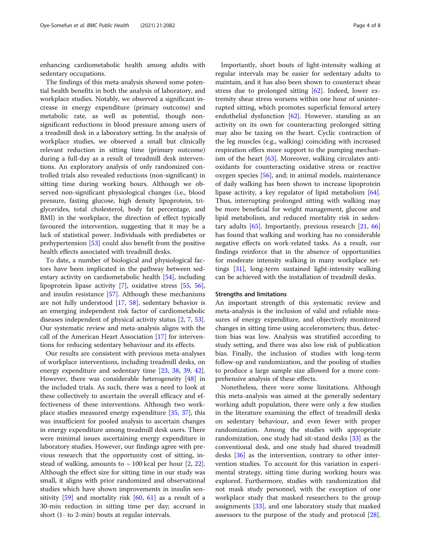enhancing cardiometabolic health among adults with sedentary occupations.

The findings of this meta-analysis showed some potential health benefits in both the analysis of laboratory, and workplace studies. Notably, we observed a significant increase in energy expenditure (primary outcome) and metabolic rate, as well as potential, though nonsignificant reductions in blood pressure among users of a treadmill desk in a laboratory setting. In the analysis of workplace studies, we observed a small but clinically relevant reduction in sitting time (primary outcome) during a full-day as a result of treadmill desk interventions. An exploratory analysis of only randomized controlled trials also revealed reductions (non-significant) in sitting time during working hours. Although we observed non-significant physiological changes (i.e., blood pressure, fasting glucose, high density lipoprotein, triglycerides, total cholesterol, body fat percentage, and BMI) in the workplace, the direction of effect typically favoured the intervention, suggesting that it may be a lack of statistical power. Individuals with prediabetes or prehypertension [\[53\]](#page-6-0) could also benefit from the positive health effects associated with treadmill desks.

To date, a number of biological and physiological factors have been implicated in the pathway between sedentary activity on cardiometabolic health [[54](#page-6-0)], including lipoprotein lipase activity [\[7](#page-5-0)], oxidative stress [[55](#page-6-0), [56](#page-6-0)], and insulin resistance [[57\]](#page-6-0). Although these mechanisms are not fully understood [[17](#page-5-0), [58\]](#page-6-0), sedentary behavior is an emerging independent risk factor of cardiometabolic diseases independent of physical activity status [\[2,](#page-5-0) [7](#page-5-0), [53](#page-6-0)]. Our systematic review and meta-analysis aligns with the call of the American Heart Association [[17\]](#page-5-0) for interventions for reducing sedentary behaviour and its effects.

Our results are consistent with previous meta-analyses of workplace interventions, including treadmill desks, on energy expenditure and sedentary time [[23](#page-5-0), [38](#page-6-0), [39](#page-6-0), [42](#page-6-0)]. However, there was considerable heterogeneity [[48\]](#page-6-0) in the included trials. As such, there was a need to look at these collectively to ascertain the overall efficacy and effectiveness of these interventions. Although two workplace studies measured energy expenditure [[35](#page-6-0), [37\]](#page-6-0), this was insufficient for pooled analysis to ascertain changes in energy expenditure among treadmill desk users. There were minimal issues ascertaining energy expenditure in laboratory studies. However, our findings agree with previous research that the opportunity cost of sitting, instead of walking, amounts to  $\sim$  100 kcal per hour [\[2](#page-5-0), [22](#page-5-0)]. Although the effect size for sitting time in our study was small, it aligns with prior randomized and observational studies which have shown improvements in insulin sensitivity [[59\]](#page-6-0) and mortality risk [[60](#page-6-0), [61\]](#page-6-0) as a result of a 30-min reduction in sitting time per day; accrued in short (1- to 2-min) bouts at regular intervals.

Importantly, short bouts of light-intensity walking at regular intervals may be easier for sedentary adults to maintain, and it has also been shown to counteract shear stress due to prolonged sitting  $[62]$  $[62]$ . Indeed, lower extremity shear stress worsens within one hour of uninterrupted sitting, which promotes superficial femoral artery endothelial dysfunction  $[62]$ . However, standing as an activity on its own for counteracting prolonged sitting may also be taxing on the heart. Cyclic contraction of the leg muscles (e.g., walking) coinciding with increased respiration offers more support to the pumping mechan-ism of the heart [\[63](#page-6-0)]. Moreover, walking circulates antioxidants for counteracting oxidative stress or reactive oxygen species [[56](#page-6-0)], and; in animal models, maintenance of daily walking has been shown to increase lipoprotein lipase activity, a key regulator of lipid metabolism [\[64](#page-6-0)]. Thus, interrupting prolonged sitting with walking may be more beneficial for weight management, glucose and lipid metabolism, and reduced mortality risk in sedentary adults  $[65]$  $[65]$ . Importantly, previous research  $[21, 66]$  $[21, 66]$  $[21, 66]$  $[21, 66]$  $[21, 66]$ has found that walking and working has no considerable negative effects on work-related tasks. As a result, our findings reinforce that in the absence of opportunities for moderate intensity walking in many workplace settings [\[31](#page-6-0)], long-term sustained light-intensity walking can be achieved with the installation of treadmill desks.

#### Strengths and limitations

An important strength of this systematic review and meta-analysis is the inclusion of valid and reliable measures of energy expenditure, and objectively monitored changes in sitting time using accelerometers; thus, detection bias was low. Analysis was stratified according to study setting, and there was also low risk of publication bias. Finally, the inclusion of studies with long-term follow-up and randomization, and the pooling of studies to produce a large sample size allowed for a more comprehensive analysis of these effects.

Nonetheless, there were some limitations. Although this meta-analysis was aimed at the generally sedentary working adult population, there were only a few studies in the literature examining the effect of treadmill desks on sedentary behaviour, and even fewer with proper randomization. Among the studies with appropriate randomization, one study had sit-stand desks [[33\]](#page-6-0) as the conventional desk, and one study had shared treadmill desks [\[36](#page-6-0)] as the intervention, contrary to other intervention studies. To account for this variation in experimental strategy, sitting time during working hours was explored. Furthermore, studies with randomization did not mask study personnel, with the exception of one workplace study that masked researchers to the group assignments [\[33\]](#page-6-0), and one laboratory study that masked assessors to the purpose of the study and protocol [\[28](#page-6-0)].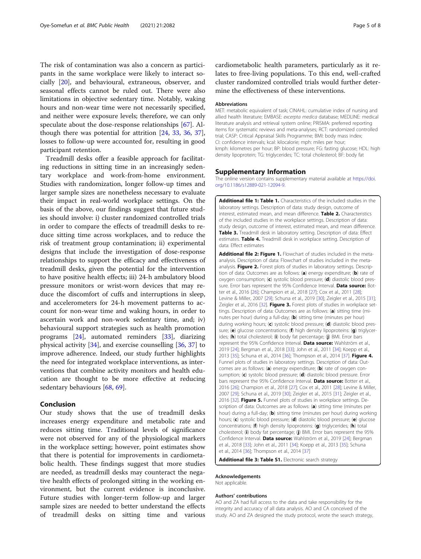<span id="page-4-0"></span>The risk of contamination was also a concern as participants in the same workplace were likely to interact socially [[20\]](#page-5-0), and behavioural, extraneous, observer, and seasonal effects cannot be ruled out. There were also limitations in objective sedentary time. Notably, waking hours and non-wear time were not necessarily specified, and neither were exposure levels; therefore, we can only speculate about the dose-response relationships [\[67\]](#page-7-0). Although there was potential for attrition [\[24](#page-5-0), [33,](#page-6-0) [36,](#page-6-0) [37](#page-6-0)], losses to follow-up were accounted for, resulting in good participant retention.

Treadmill desks offer a feasible approach for facilitating reductions in sitting time in an increasingly sedentary workplace and work-from-home environment. Studies with randomization, longer follow-up times and larger sample sizes are nonetheless necessary to evaluate their impact in real-world workplace settings. On the basis of the above, our findings suggest that future studies should involve: i) cluster randomized controlled trials in order to compare the effects of treadmill desks to reduce sitting time across workplaces, and to reduce the risk of treatment group contamination; ii) experimental designs that include the investigation of dose-response relationships to support the efficacy and effectiveness of treadmill desks, given the potential for the intervention to have positive health effects; iii) 24-h ambulatory blood pressure monitors or wrist-worn devices that may reduce the discomfort of cuffs and interruptions in sleep, and accelerometers for 24-h movement patterns to account for non-wear time and waking hours, in order to ascertain work and non-work sedentary time, and; iv) behavioural support strategies such as health promotion programs [\[24](#page-5-0)], automated reminders [\[33](#page-6-0)], diarizing physical activity [[34](#page-6-0)], and exercise counselling [\[36](#page-6-0), [37](#page-6-0)] to improve adherence. Indeed, our study further highlights the need for integrated workplace interventions, as interventions that combine activity monitors and health education are thought to be more effective at reducing sedentary behaviours [[68,](#page-7-0) [69](#page-7-0)].

#### Conclusion

Our study shows that the use of treadmill desks increases energy expenditure and metabolic rate and reduces sitting time. Traditional levels of significance were not observed for any of the physiological markers in the workplace setting; however, point estimates show that there is potential for improvements in cardiometabolic health. These findings suggest that more studies are needed, as treadmill desks may counteract the negative health effects of prolonged sitting in the working environment, but the current evidence is inconclusive. Future studies with longer-term follow-up and larger sample sizes are needed to better understand the effects of treadmill desks on sitting time and various

cardiometabolic health parameters, particularly as it relates to free-living populations. To this end, well-crafted cluster randomized controlled trials would further determine the effectiveness of these interventions.

#### Abbreviations

MET: metabolic equivalent of task; CINAHL: cumulative index of nursing and allied health literature; EMBASE: excerpta medica database; MEDLINE: medical literature analysis and retrieval system online; PRISMA: preferred reporting items for systematic reviews and meta-analyses; RCT: randomized controlled trial; CASP: Critical Appraisal Skills Programme; BMI: body mass index; CI: confidence intervals; kcal: kilocalorie; mph: miles per hour; kmph: kilometres per hour; BP: blood pressure; FG: fasting glucose; HDL: high density lipoprotein; TG: triglycerides; TC: total cholesterol; BF: body fat

#### Supplementary Information

The online version contains supplementary material available at [https://doi.](https://doi.org/10.1186/s12889-021-12094-9) [org/10.1186/s12889-021-12094-9.](https://doi.org/10.1186/s12889-021-12094-9)

Additional file 1: Table 1. Characteristics of the included studies in the laboratory settings. Description of data: study design, outcome of interest, estimated mean, and mean difference. Table 2. Characteristics of the included studies in the workplace settings. Description of data: study design, outcome of interest, estimated mean, and mean difference. Table 3. Treadmill desk in laboratory setting. Description of data: Effect estimates. Table 4. Treadmill desk in workplace setting. Description of data: Effect estimates

Additional file 2: Figure 1. Flowchart of studies included in the metaanalysis. Description of data: Flowchart of studies included in the metaanalysis. Figure 2. Forest plots of studies in laboratory settings. Description of data: Outcomes are as follows: (a) energy expenditure; (b) rate of oxygen consumption; (c) systolic blood pressure; (d) diastolic blood pressure. Error bars represent the 95% Confidence Interval. Data source: Botter et al., 2016 [26]; Champion et al., 2018 [27]; Cox et al., 2011 [28]; Levine & Miller, 2007 [29]; Schuna et al., 2019 [30]; Zeigler et al., 2015 [31]; Zeigler et al., 2016 [32]. Figure 3. Forest plots of studies in workplace settings. Description of data: Outcomes are as follows: (a) sitting time (minutes per hour) during a full-day; (b) sitting time (minutes per hour) during working hours; (c) systolic blood pressure; (d) diastolic blood pressure; (e) glucose concentrations; (f) high density lipoproteins: (g) triglycerides; (h) total cholesterol; (i) body fat percentage; (j) BMI. Error bars represent the 95% Confidence Interval. Data source: Wahlström et al., 2019 [24]; Bergman et al., 2018 [33]; John et al., 2011 [34]; Koepp et al., 2013 [35]; Schuna et al., 2014 [36]; Thompson et al., 2014 [37]. Figure 4. Funnel plots of studies in laboratory settings. Description of data: Outcomes are as follows: (a) energy expenditure; (b) rate of oxygen consumption; (c) systolic blood pressure; (d) diastolic blood pressure. Error bars represent the 95% Confidence Interval. Data source: Botter et al., 2016 [26]; Champion et al., 2018 [27]; Cox et al., 2011 [28]; Levine & Miller, 2007 [29]; Schuna et al., 2019 [30]; Zeigler et al., 2015 [31]; Zeigler et al., 2016 [32]. Figure 5. Funnel plots of studies in workplace settings. Description of data: Outcomes are as follows: (a) sitting time (minutes per hour) during a full-day; (b) sitting time (minutes per hour) during working hours; (c) systolic blood pressure; (d) diastolic blood pressure; (e) glucose concentrations; (f) high density lipoproteins: (g) triglycerides; (h) total cholesterol; (i) body fat percentage; (j) BMI. Error bars represent the 95% Confidence Interval. Data source: Wahlström et al., 2019 [24]; Bergman et al., 2018 [33]; John et al., 2011 [34]; Koepp et al., 2013 [35]; Schuna et al., 2014 [36]; Thompson et al., 2014 [37]

Additional file 3: Table S1. Electronic search strategy

#### Acknowledgements

Not applicable.

#### Authors' contributions

AO and ZA had full access to the data and take responsibility for the integrity and accuracy of all data analysis. AO and CA conceived of the study. AO and ZA designed the study protocol, wrote the search strategy,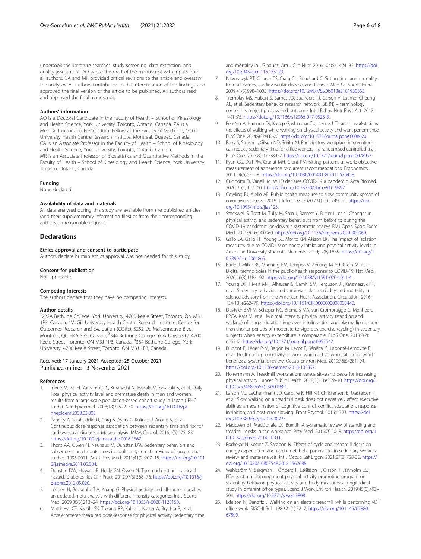<span id="page-5-0"></span>undertook the literature searches, study screening, data extraction, and quality assessment. AO wrote the draft of the manuscript with inputs from all authors. CA and MR provided critical revisions to the article and oversaw the analyses. All authors contributed to the interpretation of the findings and approved the final version of the article to be published. All authors read and approved the final manuscript.

#### Authors' information

AO is a Doctoral Candidate in the Faculty of Health – School of Kinesiology and Health Science, York University, Toronto, Ontario, Canada. ZA is a Medical Doctor and Postdoctoral Fellow at the Faculty of Medicine, McGill University Health Centre Research Institute, Montreal, Quebec, Canada. CA is an Associate Professor in the Faculty of Health – School of Kinesiology and Health Science, York University, Toronto, Ontario, Canada. MR is an Associate Professor of Biostatistics and Quantitative Methods in the Faculty of Health – School of Kinesiology and Health Science, York University, Toronto, Ontario, Canada.

#### Funding

None declared.

#### Availability of data and materials

All data analysed during this study are available from the published articles (and their supplementary information files) or from their corresponding authors on reasonable request.

#### **Declarations**

#### Ethics approval and consent to participate

Authors declare human ethics approval was not needed for this study.

#### Consent for publication

Not applicable.

#### Competing interests

The authors declare that they have no competing interests.

#### Author details

<sup>1</sup>222A Bethune College, York University, 4700 Keele Street, Toronto, ON M3J 1P3, Canada. <sup>2</sup>McGill University Health Centre Research Institute, Centre for Outcomes Research and Evaluation (CORE), 5252 De Maisonneuve Blvd, Montréal, QC H4A 3S5, Canada. <sup>3</sup>344 Bethune College, York University, 4700 Keele Street, Toronto, ON M3J 1P3, Canada. <sup>4</sup>364 Bethune College, York University, 4700 Keele Street, Toronto, ON M3J 1P3, Canada.

#### Received: 17 January 2021 Accepted: 25 October 2021 Published online: 13 November 2021

#### References

- 1. Inoue M, Iso H, Yamamoto S, Kurahashi N, Iwasaki M, Sasazuki S, et al. Daily Total physical activity level and premature death in men and women: results from a large-scale population-based cohort study in Japan (JPHC study). Ann Epidemiol. 2008;18(7):522–30. [https://doi.org/10.1016/j.a](https://doi.org/10.1016/j.annepidem.2008.03.008) [nnepidem.2008.03.008](https://doi.org/10.1016/j.annepidem.2008.03.008).
- 2. Pandey A, Salahuddin U, Garg S, Ayers C, Kulinski J, Anand V, et al. Continuous dose-response association between sedentary time and risk for cardiovascular disease: a Meta-analysis. JAMA Cardiol. 2016;1(5):575–83. [https://doi.org/10.1001/jamacardio.2016.1567.](https://doi.org/10.1001/jamacardio.2016.1567)
- Thorp AA, Owen N, Neuhaus M, Dunstan DW. Sedentary behaviors and subsequent health outcomes in adults a systematic review of longitudinal studies, 1996-2011. Am J Prev Med. 2011;41(2):207–15. [https://doi.org/10.101](https://doi.org/10.1016/j.amepre.2011.05.004) [6/j.amepre.2011.05.004](https://doi.org/10.1016/j.amepre.2011.05.004).
- 4. Dunstan DW, Howard B, Healy GN, Owen N. Too much sitting a health hazard. Diabetes Res Clin Pract. 2012;97(3):368–76. [https://doi.org/10.1016/j.](https://doi.org/10.1016/j.diabres.2012.05.020) [diabres.2012.05.020](https://doi.org/10.1016/j.diabres.2012.05.020).
- Löllgen H, Böckenhoff A, Knapp G. Physical activity and all-cause mortality: an updated meta-analysis with different intensity categories. Int J Sports Med. 2009;30(3):213–24. <https://doi.org/10.1055/s-0028-1128150>.
- Matthews CE, Keadle SK, Troiano RP, Kahle L, Koster A, Brychta R, et al. Accelerometer-measured dose-response for physical activity, sedentary time,

and mortality in US adults. Am J Clin Nutr. 2016;104(5):1424–32. [https://doi.](https://doi.org/10.3945/ajcn.116.135129) [org/10.3945/ajcn.116.135129.](https://doi.org/10.3945/ajcn.116.135129)

- 7. Katzmarzyk PT, Church TS, Craig CL, Bouchard C. Sitting time and mortality from all causes, cardiovascular disease, and Cancer. Med Sci Sports Exerc. 2009;41(5):998–1005. [https://doi.org/10.1249/MSS.0b013e3181930355.](https://doi.org/10.1249/MSS.0b013e3181930355)
- 8. Tremblay MS, Aubert S, Barnes JD, Saunders TJ, Carson V, Latimer-Cheung AE, et al. Sedentary behavior research network (SBRN) – terminology consensus project process and outcome. Int J Behav Nutr Phys Act. 2017; 14(1):75. <https://doi.org/10.1186/s12966-017-0525-8>.
- 9. Ben-Ner A, Hamann DJ, Koepp G, Manohar CU, Levine J. Treadmill workstations: the effects of walking while working on physical activity and work performance. PLoS One. 2014;9(2):e88620. <https://doi.org/10.1371/journal.pone.0088620>.
- 10. Parry S, Straker L, Gilson ND, Smith AJ. Participatory workplace interventions can reduce sedentary time for office workers—a randomised controlled trial. PLoS One. 2013;8(11):e78957. [https://doi.org/10.1371/journal.pone.0078957.](https://doi.org/10.1371/journal.pone.0078957)
- 11. Ryan CG, Dall PM, Granat MH, Grant PM. Sitting patterns at work: objective measurement of adherence to current recommendations. Ergonomics. 2011;54(6):531–8. <https://doi.org/10.1080/00140139.2011.570458>.
- 12. Cucinotta D, Vanelli M. WHO declares COVID-19 a pandemic. Acta Biomed. 2020;91(1):157–60. <https://doi.org/10.23750/abm.v91i1.9397>.
- 13. Cowling BJ, Aiello AE. Public health measures to slow community spread of coronavirus disease 2019. J Infect Dis. 2020;221(11):1749–51. [https://doi.](https://doi.org/10.1093/infdis/jiaa123) [org/10.1093/infdis/jiaa123](https://doi.org/10.1093/infdis/jiaa123).
- 14. Stockwell S, Trott M, Tully M, Shin J, Barnett Y, Butler L, et al. Changes in physical activity and sedentary behaviours from before to during the COVID-19 pandemic lockdown: a systematic review. BMJ Open Sport Exerc Med. 2021;7(1):e000960. <https://doi.org/10.1136/bmjsem-2020-000960>.
- 15. Gallo LA, Gallo TF, Young SL, Moritz KM, Akison LK. The impact of isolation measures due to COVID-19 on energy intake and physical activity levels in Australian University students. Nutrients. 2020;12(6):1865. [https://doi.org/1](https://doi.org/10.3390/nu12061865) [0.3390/nu12061865](https://doi.org/10.3390/nu12061865)
- 16. Budd J, Miller BS, Manning EM, Lampos V, Zhuang M, Edelstein M, et al. Digital technologies in the public-health response to COVID-19. Nat Med. 2020;26(8):1183–92. <https://doi.org/10.1038/s41591-020-1011-4>.
- 17. Young DR, Hivert M-F, Alhassan S, Camhi SM, Ferguson JF, Katzmarzyk PT, et al. Sedentary behavior and cardiovascular morbidity and mortality: a science advisory from the American Heart Association. Circulation. 2016; 134(13):e262–79. <https://doi.org/10.1161/CIR.0000000000000440>.
- 18. Duvivier BMFM, Schaper NC, Bremers MA, van Crombrugge G, Menheere PPCA, Kars M, et al. Minimal intensity physical activity (standing and walking) of longer duration improves insulin action and plasma lipids more than shorter periods of moderate to vigorous exercise (cycling) in sedentary subjects when energy expenditure is comparable. PLoS One. 2013;8(2): e55542. <https://doi.org/10.1371/journal.pone.0055542>.
- 19. Dupont F, Léger P-M, Begon M, Lecot F, Sénécal S, Labonté-Lemoyne E, et al. Health and productivity at work: which active workstation for which benefits: a systematic review. Occup Environ Med. 2019;76(5):281–94. <https://doi.org/10.1136/oemed-2018-105397>.
- 20. Holtermann A. Treadmill workstations versus sit–stand desks for increasing physical activity. Lancet Public Health. 2018;3(11):e509–10. [https://doi.org/1](https://doi.org/10.1016/S2468-2667(18)30198-1) [0.1016/S2468-2667\(18\)30198-1](https://doi.org/10.1016/S2468-2667(18)30198-1).
- 21. Larson MJ, LeCheminant JD, Carbine K, Hill KR, Christenson E, Masterson T, et al. Slow walking on a treadmill desk does not negatively affect executive abilities: an examination of cognitive control, conflict adaptation, response inhibition, and post-error slowing. Front Psychol. 2015;6:723. [https://doi.](https://doi.org/10.3389/fpsyg.2015.00723) [org/10.3389/fpsyg.2015.00723](https://doi.org/10.3389/fpsyg.2015.00723).
- 22. MacEwen BT, MacDonald DJ, Burr JF. A systematic review of standing and treadmill desks in the workplace. Prev Med. 2015;70:50–8. [https://doi.org/1](https://doi.org/10.1016/j.ypmed.2014.11.011) [0.1016/j.ypmed.2014.11.011](https://doi.org/10.1016/j.ypmed.2014.11.011).
- 23. Podrekar N, Kozinc Ž, Šarabon N. Effects of cycle and treadmill desks on energy expenditure and cardiometabolic parameters in sedentary workers: review and meta-analysis. Int J Occup Saf Ergon. 2021;27(3):728-36. [https://](https://doi.org/10.1080/10803548.2018.1562688) [doi.org/10.1080/10803548.2018.1562688.](https://doi.org/10.1080/10803548.2018.1562688)
- 24. Wahlström V, Bergman F, Öhberg F, Eskilsson T, Olsson T, Järvholm LS. Effects of a multicomponent physical activity promoting program on sedentary behavior, physical activity and body measures: a longitudinal study in different office types. Scand J Work Environ Health. 2019;45(5):493– 504. [https://doi.org/10.5271/sjweh.3808.](https://doi.org/10.5271/sjweh.3808)
- 25. Edelson N, Danoffz J. Walking on an electric treadmill while performing VDT office work. SIGCHI Bull. 1989;21(1):72–7. [https://doi.org/10.1145/67880.](https://doi.org/10.1145/67880.67890) [67890.](https://doi.org/10.1145/67880.67890)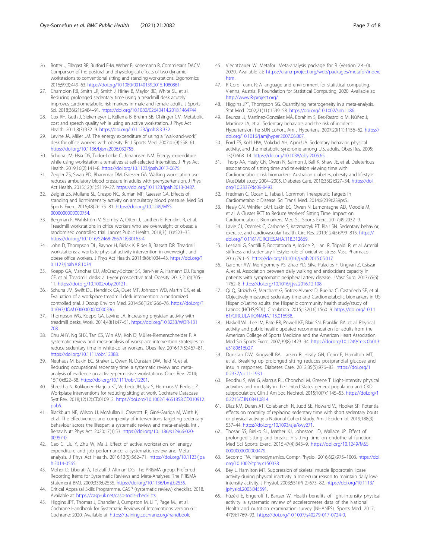- <span id="page-6-0"></span>26. Botter J, Ellegast RP, Burford E-M, Weber B, Könemann R, Commissaris DACM. Comparison of the postural and physiological effects of two dynamic workstations to conventional sitting and standing workstations. Ergonomics. 2016;59(3):449–63. <https://doi.org/10.1080/00140139.2015.1080861>.
- 27. Champion RB, Smith LR, Smith J, Hirlav B, Maylor BD, White SL, et al. Reducing prolonged sedentary time using a treadmill desk acutely improves cardiometabolic risk markers in male and female adults. J Sports Sci. 2018;36(21):2484–91. <https://doi.org/10.1080/02640414.2018.1464744>.
- 28. Cox RH, Guth J, Siekemeyer L, Kellems B, Brehm SB, Ohlinger CM. Metabolic cost and speech quality while using an active workstation. J Phys Act Health. 2011;8(3):332–9. [https://doi.org/10.1123/jpah.8.3.332.](https://doi.org/10.1123/jpah.8.3.332)
- 29. Levine JA, Miller JM. The energy expenditure of using a "walk-and-work" desk for office workers with obesity. Br J Sports Med. 2007;41(9):558–61. <https://doi.org/10.1136/bjsm.2006.032755>.
- 30. Schuna JM, Hsia DS, Tudor-Locke C, Johannsen NM. Energy expenditure while using workstation alternatives at self-selected intensities. J Phys Act Health. 2019;16(2):141–8. <https://doi.org/10.1123/jpah.2017-0675>.
- 31. Zeigler ZS, Swan PD, Bhammar DM, Gaesser GA. Walking workstation use reduces ambulatory blood pressure in adults with prehypertension. J Phys Act Health. 2015;12(s1):S119–27. [https://doi.org/10.1123/jpah.2013-0487.](https://doi.org/10.1123/jpah.2013-0487)
- 32. Zeigler ZS, Mullane SL, Crespo NC, Buman MP, Gaesser GA. Effects of standing and light-intensity activity on ambulatory blood pressure. Med Sci Sports Exerc. 2016;48(2):175–81. [https://doi.org/10.1249/MSS.](https://doi.org/10.1249/MSS.0000000000000754) [0000000000000754](https://doi.org/10.1249/MSS.0000000000000754).
- 33. Bergman F, Wahlström V, Stomby A, Otten J, Lanthén E, Renklint R, et al. Treadmill workstations in office workers who are overweight or obese: a randomised controlled trial. Lancet Public Health. 2018;3(11):e523–35. [https://doi.org/10.1016/S2468-2667\(18\)30163-4.](https://doi.org/10.1016/S2468-2667(18)30163-4)
- 34. John D, Thompson DL, Raynor H, Bielak K, Rider B, Bassett DR. Treadmill workstations: a worksite physical activity intervention in overweight and obese office workers. J Phys Act Health. 2011;8(8):1034–43. [https://doi.org/1](https://doi.org/10.1123/jpah.8.8.1034) [0.1123/jpah.8.8.1034.](https://doi.org/10.1123/jpah.8.8.1034)
- 35. Koepp GA, Manohar CU, McCrady-Spitzer SK, Ben-Ner A, Hamann DJ, Runge CF, et al. Treadmill desks: a 1-year prospective trial. Obesity. 2013;21(4):705– 11. <https://doi.org/10.1002/oby.20121>.
- 36. Schuna JM, Swift DL, Hendrick CA, Duet MT, Johnson WD, Martin CK, et al. Evaluation of a workplace treadmill desk intervention: a randomized controlled trial. J Occup Environ Med. 2014;56(12):1266–76. [https://doi.org/1](https://doi.org/10.1097/JOM.0000000000000336) [0.1097/JOM.0000000000000336.](https://doi.org/10.1097/JOM.0000000000000336)
- 37. Thompson WG, Koepp GA, Levine JA. Increasing physician activity with treadmill desks. Work. 2014;48(1):47–51. [https://doi.org/10.3233/WOR-131](https://doi.org/10.3233/WOR-131708) [708.](https://doi.org/10.3233/WOR-131708)
- 38. Chu AHY, Ng SHX, Tan CS, Win AM, Koh D, Müller-Riemenschneider F. A systematic review and meta-analysis of workplace intervention strategies to reduce sedentary time in white-collar workers. Obes Rev. 2016;17(5):467–81. [https://doi.org/10.1111/obr.12388.](https://doi.org/10.1111/obr.12388)
- 39. Neuhaus M, Eakin EG, Straker L, Owen N, Dunstan DW, Reid N, et al. Reducing occupational sedentary time: a systematic review and metaanalysis of evidence on activity-permissive workstations. Obes Rev. 2014; 15(10):822–38. <https://doi.org/10.1111/obr.12201>.
- 40. Shrestha N, Kukkonen-Harjula KT, Verbeek JH, Ijaz S, Hermans V, Pedisic Z. Workplace interventions for reducing sitting at work. Cochrane Database Syst Rev. 2018;12(12):CD010912. [https://doi.org/10.1002/14651858.CD010912.](https://doi.org/10.1002/14651858.CD010912.pub5) [pub5.](https://doi.org/10.1002/14651858.CD010912.pub5)
- 41. Blackburn NE, Wilson JJ, McMullan II, Caserotti P, Giné-Garriga M, Wirth K, et al. The effectiveness and complexity of interventions targeting sedentary behaviour across the lifespan: a systematic review and meta-analysis. Int J Behav Nutr Phys Act. 2020;17(1):53. [https://doi.org/10.1186/s12966-020-](https://doi.org/10.1186/s12966-020-00957-0) [00957-0](https://doi.org/10.1186/s12966-020-00957-0).
- 42. Cao C, Liu Y, Zhu W, Ma J. Effect of active workstation on energy expenditure and job performance: a systematic review and Metaanalysis. J Phys Act Health. 2016;13(5):562–71. [https://doi.org/10.1123/jpa](https://doi.org/10.1123/jpah.2014-0565) [h.2014-0565](https://doi.org/10.1123/jpah.2014-0565).
- 43. Moher D, Liberati A, Tetzlaff J, Altman DG. The PRISMA group. Preferred Reporting Items for Systematic Reviews and Meta-Analyses: The PRISMA Statement BMJ. 2009;339:b2535. <https://doi.org/10.1136/bmj.b2535>.
- 44. Critical Appraisal Skills Programme. CASP (systematic review) checklist. 2018. Available at: <https://casp-uk.net/casp-tools-checklists>.
- 45. Higgins JPT, Thomas J, Chandler J, Cumpston M, Li T, Page MJ, et al. Cochrane Handbook for Systematic Reviews of Interventions version 6.1: Cochrane; 2020. Available at: [https://training.cochrane.org/handbook.](https://training.cochrane.org/handbook)
- 46. Viechtbauer W. Metafor: Meta-analysis package for R (Version 2.4–0). 2020. Available at: [https://cran.r-project.org/web/packages/metafor/index.](https://cran.r-project.org/web/packages/metafor/index.html) [html](https://cran.r-project.org/web/packages/metafor/index.html).
- 47. R Core Team. R: A language and environment for statistical computing. Vienna, Austria: R Foundation for Statistical Computing; 2020. Available at: <http://www.R-project.org/>.
- Higgins JPT, Thompson SG. Quantifying heterogeneity in a meta-analysis. Stat Med. 2002;21(11):1539–58. <https://doi.org/10.1002/sim.1186>.
- 49. Beunza JJ, Martínez-González MÁ, Ebrahim S, Bes-Rastrollo M, Núñez J, Martínez JA, et al. Sedentary behaviors and the risk of incident HypertensionThe SUN cohort. Am J Hypertens. 2007;20(11):1156–62. [https://](https://doi.org/10.1016/j.amjhyper.2007.06.007) [doi.org/10.1016/j.amjhyper.2007.06.007.](https://doi.org/10.1016/j.amjhyper.2007.06.007)
- 50. Ford ES, Kohl HW, Mokdad AH, Ajani UA. Sedentary behavior, physical activity, and the metabolic syndrome among U.S. adults. Obes Res. 2005; 13(3):608–14. [https://doi.org/10.1038/oby.2005.65.](https://doi.org/10.1038/oby.2005.65)
- 51. Thorp AA, Healy GN, Owen N, Salmon J, Ball K, Shaw JE, et al. Deleterious associations of sitting time and television viewing time with Cardiometabolic risk biomarkers: Australian diabetes, obesity and lifestyle (AusDiab) study 2004–2005. Diabetes Care. 2010;33(2):327–34. [https://doi.](https://doi.org/10.2337/dc09-0493) [org/10.2337/dc09-0493.](https://doi.org/10.2337/dc09-0493)
- 52. Fredman G, Ozcan L, Tabas I. Common Therapeutic Targets in Cardiometabolic Disease. Sci Transl Med. 2014;6(239):239ps5.
- 53. Healy GN, Winkler EAH, Eakin EG, Owen N, Lamontagne AD, Moodie M, et al. A Cluster RCT to Reduce Workers' Sitting Time: Impact on Cardiometabolic Biomarkers. Med Sci Sports Exerc. 2017;49:2032–9.
- 54. Lavie CJ, Ozemek C, Carbone S, Katzmarzyk PT, Blair SN. Sedentary behavior, exercise, and cardiovascular health. Circ Res. 2019;124(5):799–815. [https://](https://doi.org/10.1161/CIRCRESAHA.118.312669) [doi.org/10.1161/CIRCRESAHA.118.312669](https://doi.org/10.1161/CIRCRESAHA.118.312669).
- 55. Lessiani G, Santilli F, Boccatonda A, Iodice P, Liani R, Tripaldi R, et al. Arterial stiffness and sedentary lifestyle: role of oxidative stress. Vasc Pharmacol. 2016;79:1–5. <https://doi.org/10.1016/j.vph.2015.05.017>.
- 56. Gardner AW, Montgomery PS, Zhao YD, Silva-Palacios F, Ungvari Z, Csiszar A, et al. Association between daily walking and antioxidant capacity in patients with symptomatic peripheral artery disease. J Vasc Surg. 2017;65(6): 1762–8. <https://doi.org/10.1016/j.jvs.2016.12.108>.
- 57. Qi Q, Strizich G, Merchant G, Sotres-Alvarez D, Buelna C, Castañeda SF, et al. Objectively measured sedentary time and Cardiometabolic biomarkers in US Hispanic/Latino adults: the Hispanic community health study/study of Latinos (HCHS/SOL). Circulation. 2015;132(16):1560–9. [https://doi.org/10.11](https://doi.org/10.1161/CIRCULATIONAHA.115.016938) [61/CIRCULATIONAHA.115.016938.](https://doi.org/10.1161/CIRCULATIONAHA.115.016938)
- 58. Haskell WL, Lee IM, Pate RR, Powell KE, Blair SN, Franklin BA, et al. Physical activity and public health: updated recommendation for adults from the American College of Sports Medicine and the American Heart Association. Med Sci Sports Exerc. 2007;39(8):1423–34. [https://doi.org/10.1249/mss.0b013](https://doi.org/10.1249/mss.0b013e3180616b27) [e3180616b27.](https://doi.org/10.1249/mss.0b013e3180616b27)
- 59. Dunstan DW, Kingwell BA, Larsen R, Healy GN, Cerin E, Hamilton MT, et al. Breaking up prolonged sitting reduces postprandial glucose and insulin responses. Diabetes Care. 2012;35(5):976–83. [https://doi.org/1](https://doi.org/10.2337/dc11-1931) [0.2337/dc11-1931](https://doi.org/10.2337/dc11-1931).
- 60. Beddhu S, Wei G, Marcus RL, Chonchol M, Greene T. Light-intensity physical activities and mortality in the United States general population and CKD subpopulation. Clin J Am Soc Nephrol. 2015;10(7):1145–53. [https://doi.org/1](https://doi.org/10.2215/CJN.08410814) [0.2215/CJN.08410814.](https://doi.org/10.2215/CJN.08410814)
- 61. Diaz KM, Duran AT, Colabianchi N, Judd SE, Howard VJ, Hooker SP. Potential effects on mortality of replacing sedentary time with short sedentary bouts or physical activity: a National Cohort Study. Am J Epidemiol. 2019;188(3): 537–44. [https://doi.org/10.1093/aje/kwy271.](https://doi.org/10.1093/aje/kwy271)
- 62. Thosar SS, Bielko SL, Mather KJ, Johnston JD, Wallace JP. Effect of prolonged sitting and breaks in sitting time on endothelial function. Med Sci Sports Exerc. 2015;47(4):843–9. [https://doi.org/10.1249/MSS.](https://doi.org/10.1249/MSS.0000000000000479) [0000000000000479.](https://doi.org/10.1249/MSS.0000000000000479)
- 63. Secomb TW. Hemodynamics. Compr Physiol. 2016;6(2):975–1003. [https://doi.](https://doi.org/10.1002/cphy.c150038) [org/10.1002/cphy.c150038.](https://doi.org/10.1002/cphy.c150038)
- 64. Bey L, Hamilton MT. Suppression of skeletal muscle lipoprotein lipase activity during physical inactivity: a molecular reason to maintain daily lowintensity activity. J Physiol. 2003;551(Pt 2):673–82. [https://doi.org/10.1113/](https://doi.org/10.1113/jphysiol.2003.045591) [jphysiol.2003.045591.](https://doi.org/10.1113/jphysiol.2003.045591)
- 65. Füzéki E, Engeroff T, Banzer W. Health benefits of light-intensity physical activity: a systematic review of accelerometer data of the National Health and nutrition examination survey (NHANES). Sports Med. 2017; 47(9):1769–93. <https://doi.org/10.1007/s40279-017-0724-0>.